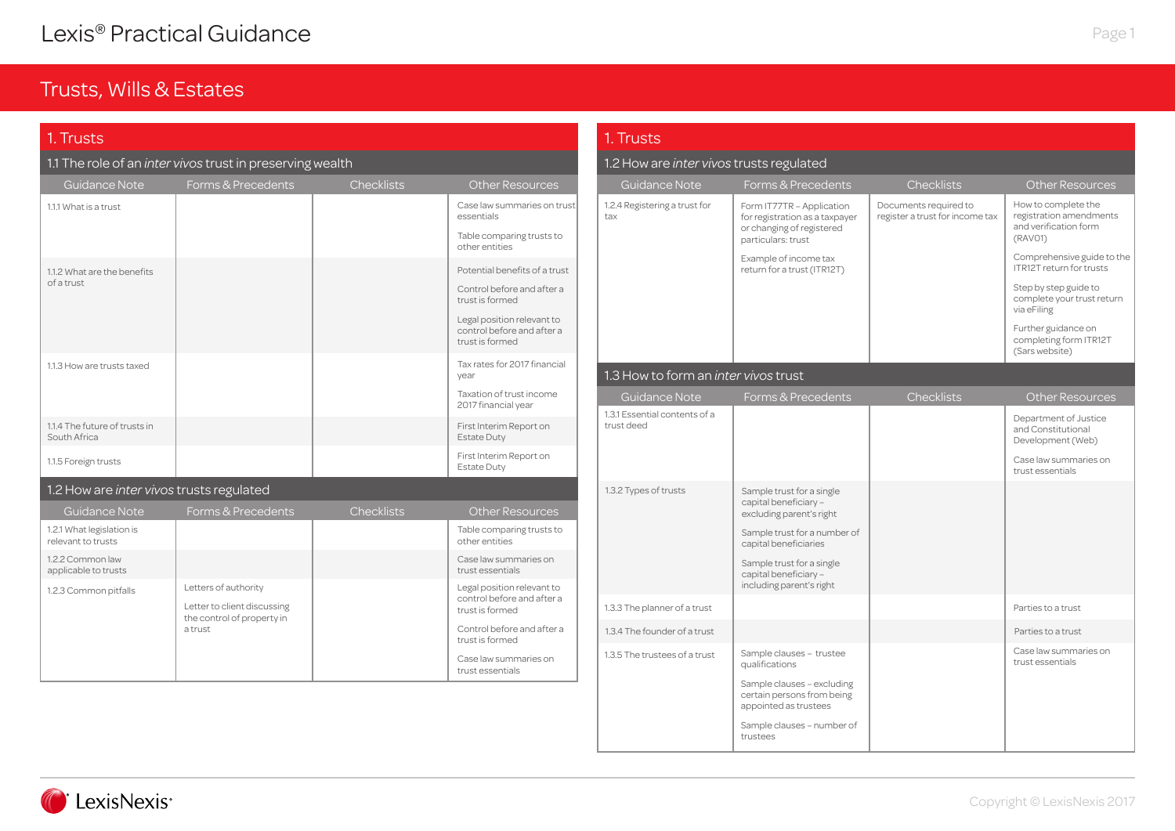### Trusts, Wills & Estates

| 1. Trusts                                       |                                                           |                   |                                                                                                                                                               | 1. Trusts                                   |                                                                                                                 |                                                          |                                                                                                                                                                                             |
|-------------------------------------------------|-----------------------------------------------------------|-------------------|---------------------------------------------------------------------------------------------------------------------------------------------------------------|---------------------------------------------|-----------------------------------------------------------------------------------------------------------------|----------------------------------------------------------|---------------------------------------------------------------------------------------------------------------------------------------------------------------------------------------------|
|                                                 | 1.1 The role of an inter vivos trust in preserving wealth |                   |                                                                                                                                                               | 1.2 How are inter vivos trusts regulated    |                                                                                                                 |                                                          |                                                                                                                                                                                             |
| Guidance Note                                   | Forms & Precedents                                        | <b>Checklists</b> | <b>Other Resources</b>                                                                                                                                        | Guidance Note                               | Forms & Precedents                                                                                              | <b>Checklists</b>                                        | <b>Other Resource</b>                                                                                                                                                                       |
| 1.1.1 What is a trust                           |                                                           |                   | Case law summaries on trust<br>essentials<br>Table comparing trusts to<br>other entities                                                                      | 1.2.4 Registering a trust for<br>tax        | Form IT77TR - Application<br>for registration as a taxpayer<br>or changing of registered<br>particulars: trust  | Documents required to<br>register a trust for income tax | How to complete the<br>registration amendmer<br>and verification form<br>(RAVO1)                                                                                                            |
| 1.1.2 What are the benefits<br>of a trust       |                                                           |                   | Potential benefits of a trust<br>Control before and after a<br>trust is formed<br>Legal position relevant to<br>control before and after a<br>trust is formed |                                             | Example of income tax<br>return for a trust (ITR12T)                                                            |                                                          | Comprehensive guide<br><b>ITR12T return for trusts</b><br>Step by step guide to<br>complete your trust ret<br>via eFiling<br>Further guidance on<br>completing form ITR12<br>(Sars website) |
| 1.1.3 How are trusts taxed                      |                                                           |                   | Tax rates for 2017 financial<br>year                                                                                                                          | 1.3 How to form an <i>inter vivos</i> trust |                                                                                                                 |                                                          |                                                                                                                                                                                             |
|                                                 |                                                           |                   | Taxation of trust income<br>2017 financial year                                                                                                               | Guidance Note                               | Forms & Precedents                                                                                              | Checklists                                               | <b>Other Resource</b>                                                                                                                                                                       |
| 1.1.4 The future of trusts in<br>South Africa   |                                                           |                   | First Interim Report on<br><b>Estate Duty</b>                                                                                                                 | 1.3.1 Essential contents of a<br>trust deed |                                                                                                                 |                                                          | Department of Justice<br>and Constitutional<br>Development (Web)                                                                                                                            |
| 1.1.5 Foreign trusts                            |                                                           |                   | First Interim Report on<br><b>Estate Duty</b>                                                                                                                 |                                             |                                                                                                                 |                                                          | Case law summaries or<br>trust essentials                                                                                                                                                   |
| 1.2 How are inter vivos trusts regulated        |                                                           |                   |                                                                                                                                                               | 1.3.2 Types of trusts                       | Sample trust for a single                                                                                       |                                                          |                                                                                                                                                                                             |
| Guidance Note                                   | Forms & Precedents                                        | <b>Checklists</b> | <b>Other Resources</b>                                                                                                                                        |                                             | capital beneficiary -<br>excluding parent's right                                                               |                                                          |                                                                                                                                                                                             |
| 1.2.1 What legislation is<br>relevant to trusts |                                                           |                   | Table comparing trusts to<br>other entities                                                                                                                   |                                             | Sample trust for a number of<br>capital beneficiaries                                                           |                                                          |                                                                                                                                                                                             |
| 1.2.2 Common law<br>applicable to trusts        |                                                           |                   | Case law summaries on<br>trust essentials                                                                                                                     |                                             | Sample trust for a single<br>capital beneficiary -                                                              |                                                          |                                                                                                                                                                                             |
| 1.2.3 Common pitfalls                           | Letters of authority<br>Letter to client discussing       |                   | Legal position relevant to<br>control before and after a<br>trust is formed                                                                                   | 1.3.3 The planner of a trust                | including parent's right                                                                                        |                                                          | Parties to a trust                                                                                                                                                                          |
|                                                 | the control of property in<br>a trust                     |                   | Control before and after a                                                                                                                                    | 1.3.4 The founder of a trust                |                                                                                                                 |                                                          | Parties to a trust                                                                                                                                                                          |
|                                                 |                                                           |                   | trust is formed<br>Case law summaries on<br>trust essentials                                                                                                  | 1.3.5 The trustees of a trust               | Sample clauses - trustee<br>qualifications                                                                      |                                                          | Case law summaries or<br>trust essentials                                                                                                                                                   |
|                                                 |                                                           |                   |                                                                                                                                                               |                                             | Sample clauses - excluding<br>certain persons from being<br>appointed as trustees<br>Sample clauses - number of |                                                          |                                                                                                                                                                                             |



How to complete the registration amendments and verification form

Comprehensive guide to the ITR12T return for trusts Step by step guide to complete your trust return

Further guidance on completing form ITR12T (Sars website)

Case law summaries on trust essentials

trustees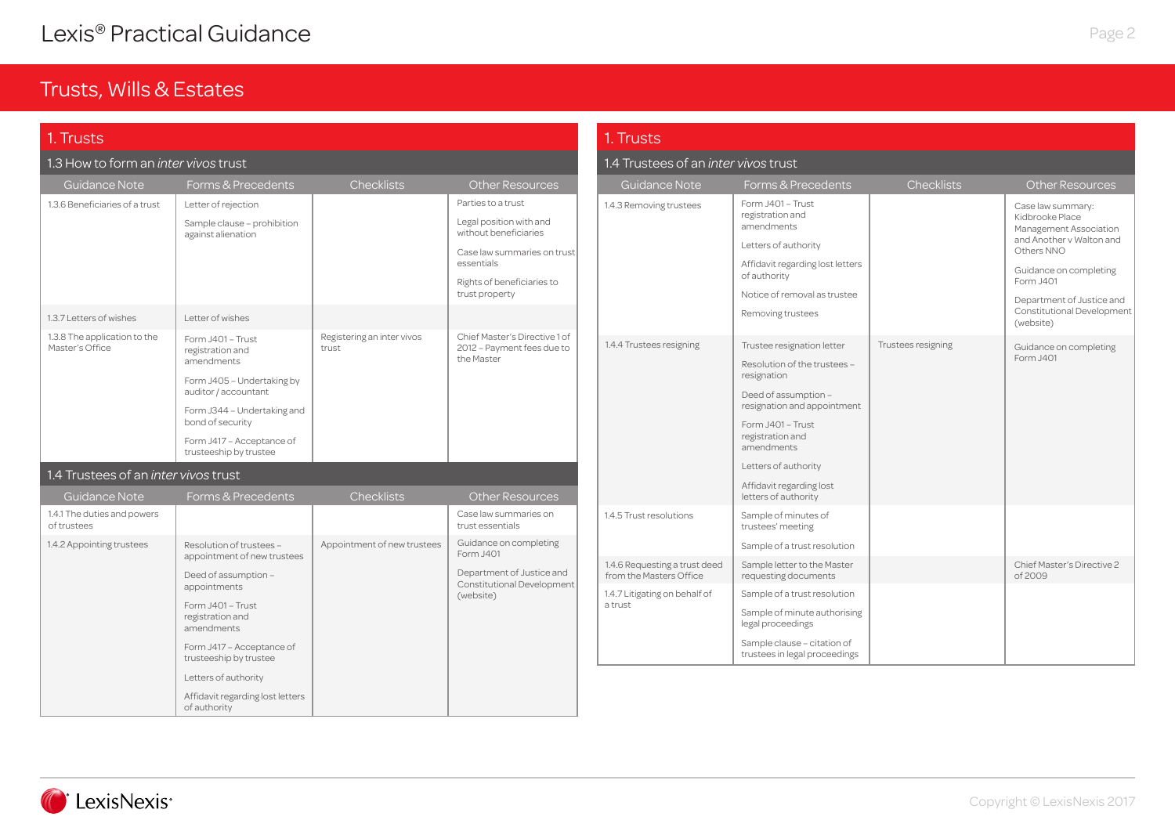| 1. Trusts                                       |                                                                                                                                          |                                     |                                                                                                                                                                     | 1. Trusts                                                |                                                                                                                                                                 |                    |                                                                                                                                                                              |
|-------------------------------------------------|------------------------------------------------------------------------------------------------------------------------------------------|-------------------------------------|---------------------------------------------------------------------------------------------------------------------------------------------------------------------|----------------------------------------------------------|-----------------------------------------------------------------------------------------------------------------------------------------------------------------|--------------------|------------------------------------------------------------------------------------------------------------------------------------------------------------------------------|
| 1.3 How to form an <i>inter vivos</i> trust     |                                                                                                                                          |                                     |                                                                                                                                                                     | 1.4 Trustees of an <i>inter vivos</i> trust              |                                                                                                                                                                 |                    |                                                                                                                                                                              |
| Guidance Note                                   | Forms & Precedents                                                                                                                       | <b>Checklists</b>                   | <b>Other Resources</b>                                                                                                                                              | Guidance Note                                            | Forms & Precedents                                                                                                                                              | <b>Checklists</b>  | <b>Other Resources</b>                                                                                                                                                       |
| 1.3.6 Beneficiaries of a trust                  | Letter of rejection<br>Sample clause - prohibition<br>against alienation                                                                 |                                     | Parties to a trust<br>Legal position with and<br>without beneficiaries<br>Case law summaries on trust<br>essentials<br>Rights of beneficiaries to<br>trust property | 1.4.3 Removing trustees                                  | Form J401 - Trust<br>registration and<br>amendments<br>Letters of authority<br>Affidavit regarding lost letters<br>of authority<br>Notice of removal as trustee |                    | Case law summary:<br>Kidbrooke Place<br>Management Association<br>and Another v Walton and<br>Others NNO<br>Guidance on completing<br>Form J401<br>Department of Justice and |
| 1.3.7 Letters of wishes                         | Letter of wishes                                                                                                                         |                                     |                                                                                                                                                                     |                                                          | Removing trustees                                                                                                                                               |                    | Constitutional Development<br>(website)                                                                                                                                      |
| 1.3.8 The application to the<br>Master's Office | Form J401 - Trust<br>registration and<br>amendments<br>Form J405 - Undertaking by<br>auditor / accountant<br>Form J344 - Undertaking and | Registering an inter vivos<br>trust | Chief Master's Directive 1 of<br>2012 - Payment fees due to<br>the Master                                                                                           | 1.4.4 Trustees resigning                                 | Trustee resignation letter<br>Resolution of the trustees -<br>resignation<br>Deed of assumption -<br>resignation and appointment                                | Trustees resigning | Guidance on completing<br>Form J401                                                                                                                                          |
|                                                 | bond of security<br>Form J417 - Acceptance of<br>trusteeship by trustee                                                                  |                                     |                                                                                                                                                                     |                                                          | Form J401 - Trust<br>registration and<br>amendments                                                                                                             |                    |                                                                                                                                                                              |
| 1.4 Trustees of an <i>inter vivos</i> trust     |                                                                                                                                          |                                     |                                                                                                                                                                     |                                                          | Letters of authority                                                                                                                                            |                    |                                                                                                                                                                              |
| Guidance Note                                   | Forms & Precedents                                                                                                                       | <b>Checklists</b>                   | <b>Other Resources</b>                                                                                                                                              |                                                          | Affidavit regarding lost<br>letters of authority                                                                                                                |                    |                                                                                                                                                                              |
| 1.4.1 The duties and powers<br>of trustees      |                                                                                                                                          |                                     | Case law summaries on<br>trust essentials                                                                                                                           | 1.4.5 Trust resolutions                                  | Sample of minutes of<br>trustees' meeting                                                                                                                       |                    |                                                                                                                                                                              |
| 1.4.2 Appointing trustees                       | Resolution of trustees -<br>appointment of new trustees                                                                                  | Appointment of new trustees         | Guidance on completing<br>Form J401                                                                                                                                 | 1.4.6 Requesting a trust deed                            | Sample of a trust resolution<br>Sample letter to the Master                                                                                                     |                    | Chief Master's Directive 2                                                                                                                                                   |
|                                                 | Deed of assumption -<br>appointments                                                                                                     |                                     | Department of Justice and<br>Constitutional Development                                                                                                             | from the Masters Office<br>1.4.7 Litigating on behalf of | requesting documents<br>Sample of a trust resolution                                                                                                            |                    | of 2009                                                                                                                                                                      |
|                                                 | Form J401 - Trust<br>registration and<br>amendments                                                                                      |                                     | (website)                                                                                                                                                           | a trust                                                  | Sample of minute authorising<br>legal proceedings                                                                                                               |                    |                                                                                                                                                                              |
|                                                 | Form J417 - Acceptance of<br>trusteeship by trustee                                                                                      |                                     |                                                                                                                                                                     |                                                          | Sample clause - citation of<br>trustees in legal proceedings                                                                                                    |                    |                                                                                                                                                                              |
|                                                 | Letters of authority                                                                                                                     |                                     |                                                                                                                                                                     |                                                          |                                                                                                                                                                 |                    |                                                                                                                                                                              |
|                                                 | Affidavit regarding lost letters<br>of authority                                                                                         |                                     |                                                                                                                                                                     |                                                          |                                                                                                                                                                 |                    |                                                                                                                                                                              |

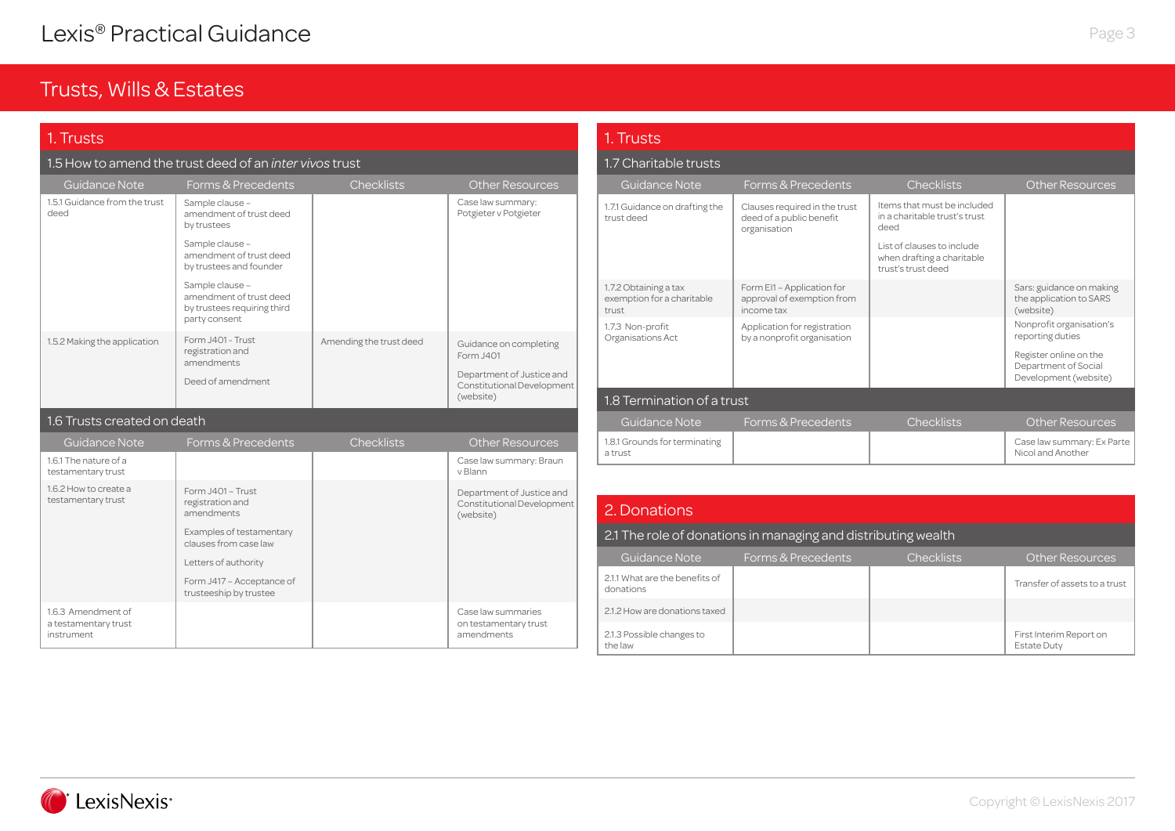| 1. Trusts                                   |                                                                                            |                         | 1. Trusts                                               |                                                              |                                                                           |                                                                                |                                                                  |
|---------------------------------------------|--------------------------------------------------------------------------------------------|-------------------------|---------------------------------------------------------|--------------------------------------------------------------|---------------------------------------------------------------------------|--------------------------------------------------------------------------------|------------------------------------------------------------------|
|                                             | 1.5 How to amend the trust deed of an <i>inter vivos</i> trust                             |                         |                                                         | 1.7 Charitable trusts                                        |                                                                           |                                                                                |                                                                  |
| Guidance Note                               | Forms & Precedents                                                                         | <b>Checklists</b>       | Other Resources                                         | Guidance Note                                                | Forms & Precedents                                                        | <b>Checklists</b>                                                              | <b>Other Resources</b>                                           |
| 1.5.1 Guidance from the trust<br>deed       | Sample clause -<br>amendment of trust deed<br>by trustees                                  |                         | Case law summary:<br>Potgieter v Potgieter              | 1.7.1 Guidance on drafting the<br>trust deed                 | Clauses required in the trust<br>deed of a public benefit<br>organisation | Items that must be included<br>in a charitable trust's trust<br>deed           |                                                                  |
|                                             | Sample clause -<br>amendment of trust deed<br>by trustees and founder                      |                         |                                                         |                                                              |                                                                           | List of clauses to include<br>when drafting a charitable<br>trust's trust deed |                                                                  |
|                                             | Sample clause -<br>amendment of trust deed<br>by trustees requiring third<br>party consent |                         |                                                         | 1.7.2 Obtaining a tax<br>exemption for a charitable<br>trust | Form EI1 - Application for<br>approval of exemption from<br>income tax    |                                                                                | Sars: guidance on making<br>the application to SARS<br>(website) |
|                                             |                                                                                            |                         |                                                         | 1.7.3 Non-profit<br>Organisations Act                        | Application for registration<br>by a nonprofit organisation               |                                                                                | Nonprofit organisation's<br>reporting duties                     |
| 1.5.2 Making the application                | Form J401 - Trust<br>registration and<br>amendments                                        | Amending the trust deed | Guidance on completing<br>Form J401                     |                                                              |                                                                           |                                                                                | Register online on the<br>Department of Social                   |
|                                             | Deed of amendment                                                                          |                         | Department of Justice and<br>Constitutional Development |                                                              |                                                                           |                                                                                | Development (website)                                            |
|                                             |                                                                                            |                         | (website)                                               | 1.8 Termination of a trust                                   |                                                                           |                                                                                |                                                                  |
| 1.6 Trusts created on death                 |                                                                                            |                         |                                                         | <b>Guidance Note</b>                                         | Forms & Precedents                                                        | <b>Checklists</b>                                                              | <b>Other Resources</b>                                           |
| <b>Guidance Note</b>                        | Forms & Precedents                                                                         | <b>Checklists</b>       | <b>Other Resources</b>                                  | 1.8.1 Grounds for terminating<br>a trust                     |                                                                           |                                                                                | Case law summary: Ex Pa<br>Nicol and Another                     |
| 1.6.1 The nature of a<br>testamentary trust |                                                                                            |                         | Case law summary: Braun<br>v Blann                      |                                                              |                                                                           |                                                                                |                                                                  |
| 1.6.2 How to create a                       | Form J401 - Trust                                                                          |                         | Department of Justice and                               |                                                              |                                                                           |                                                                                |                                                                  |
| testamentary trust                          | registration and<br>amendments                                                             |                         | Constitutional Development<br>(website)                 | 2. Donations                                                 |                                                                           |                                                                                |                                                                  |
|                                             | Examples of testamentary<br>clauses from case law                                          |                         |                                                         |                                                              | 2.1 The role of donations in managing and distributing wealth             |                                                                                |                                                                  |
|                                             | Letters of authority                                                                       |                         |                                                         | Guidance Note                                                | Forms & Precedents                                                        | <b>Checklists</b>                                                              | <b>Other Resources</b>                                           |
|                                             | Form J417 - Acceptance of<br>trusteeship by trustee                                        |                         |                                                         | 2.1.1 What are the benefits of<br>donations                  |                                                                           |                                                                                | Transfer of assets to a tru                                      |
| 1.6.3 Amendment of                          |                                                                                            |                         | Case law summaries                                      | 2.1.2 How are donations taxed                                |                                                                           |                                                                                |                                                                  |
| a testamentary trust<br>instrument          |                                                                                            |                         | on testamentary trust<br>amendments                     | 2.1.3 Possible changes to<br>the law                         |                                                                           |                                                                                | First Interim Report on<br>Fetata Duty                           |

| 1.7 Charitable trusts                                        |                                                                           |                                                                                |                                                                                                                         |  |  |
|--------------------------------------------------------------|---------------------------------------------------------------------------|--------------------------------------------------------------------------------|-------------------------------------------------------------------------------------------------------------------------|--|--|
| Guidance Note                                                | Forms & Precedents                                                        | <b>Checklists</b>                                                              | <b>Other Resources</b>                                                                                                  |  |  |
| 1.7.1 Guidance on drafting the<br>trust deed                 | Clauses required in the trust<br>deed of a public benefit<br>organisation | Items that must be included<br>in a charitable trust's trust<br>deed           |                                                                                                                         |  |  |
|                                                              |                                                                           | List of clauses to include<br>when drafting a charitable<br>trust's trust deed |                                                                                                                         |  |  |
| 1.7.2 Obtaining a tax<br>exemption for a charitable<br>trust | Form EI1 - Application for<br>approval of exemption from<br>income tax    |                                                                                | Sars: guidance on making<br>the application to SARS<br>(website)                                                        |  |  |
| 1.7.3 Non-profit<br>Organisations Act                        | Application for registration<br>by a nonprofit organisation               |                                                                                | Nonprofit organisation's<br>reporting duties<br>Register online on the<br>Department of Social<br>Development (website) |  |  |
| 1.8 Termination of a trust                                   |                                                                           |                                                                                |                                                                                                                         |  |  |
| Guidance Note                                                | Forms & Precedents                                                        | <b>Checklists</b>                                                              | <b>Other Resources</b>                                                                                                  |  |  |
| 1.8.1 Grounds for terminating<br>a trust                     |                                                                           |                                                                                | Case law summary: Ex Parte<br>Nicol and Another                                                                         |  |  |

### 2. Donations

| Guidance Note                               | Forms & Precedents | <b>Checklists</b> | <b>Other Resources</b>                        |
|---------------------------------------------|--------------------|-------------------|-----------------------------------------------|
| 2.1.1 What are the benefits of<br>donations |                    |                   | Transfer of assets to a trust                 |
| 2.1.2 How are donations taxed               |                    |                   |                                               |
| 2.1.3 Possible changes to<br>the law        |                    |                   | First Interim Report on<br><b>Estate Duty</b> |

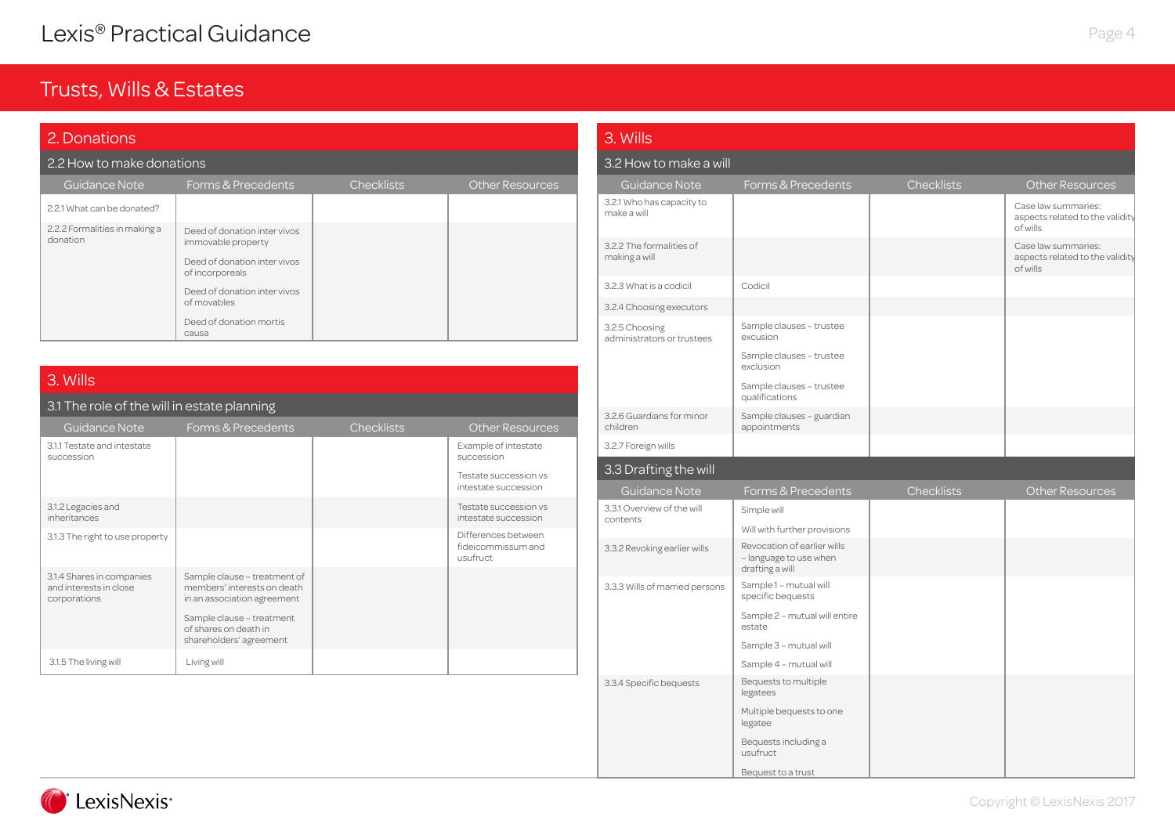### Trusts, Wills & Estates

| 2. Donations                              |                                                                                    |                   |                        |  |
|-------------------------------------------|------------------------------------------------------------------------------------|-------------------|------------------------|--|
| 2.2 How to make donations                 |                                                                                    |                   |                        |  |
| Guidance Note                             | Forms & Precedents                                                                 | <b>Checklists</b> | <b>Other Resources</b> |  |
| 2.2.1 What can be donated?                |                                                                                    |                   |                        |  |
| 2.2.2 Formalities in making a<br>donation | Deed of donation inter vivos<br>immovable property<br>Deed of donation inter vivos |                   |                        |  |
|                                           | of incorporeals                                                                    |                   |                        |  |
|                                           | Deed of donation inter vivos<br>of movables                                        |                   |                        |  |
|                                           | Deed of donation mortis<br>causa                                                   |                   |                        |  |

### 3. Wills

### 3.1 The role of the will in estate planning

| Guidance Note                                                       | Forms & Precedents                                                                                                                                                          | <b>Checklists</b> | <b>Other Resources</b>                                |
|---------------------------------------------------------------------|-----------------------------------------------------------------------------------------------------------------------------------------------------------------------------|-------------------|-------------------------------------------------------|
| 3.1.1 Testate and intestate<br>succession                           |                                                                                                                                                                             |                   | Example of intestate<br>succession                    |
|                                                                     |                                                                                                                                                                             |                   | Testate succession vs<br>intestate succession         |
| 3.1.2 Legacies and<br>inheritances                                  |                                                                                                                                                                             |                   | Testate succession vs<br>intestate succession         |
| 3.1.3 The right to use property                                     |                                                                                                                                                                             |                   | Differences between<br>fideicommissum and<br>usufruct |
| 3.1.4 Shares in companies<br>and interests in close<br>corporations | Sample clause - treatment of<br>members' interests on death<br>in an association agreement<br>Sample clause - treatment<br>of shares on death in<br>shareholders' agreement |                   |                                                       |
| 3.1.5 The living will                                               | Living will                                                                                                                                                                 |                   |                                                       |

#### 3.3.4 Specific bequests Bequests to multiple legatees Multiple bequests to one legatee Bequests including a usufruct Bequest to a trust 3.3.3 Wills of married persons  $\Big|$  Sample 1 – mutual will specific bequests Sample 2 – mutual will entire estate Sample 3 – mutual will Sample 4 – mutual will 3.3.1 Overview of the will Simple will<br>contents Will with further provisions 3.3.2 Revoking earlier wills Revocation of earlier wills – language to use when drafting a will 3.2.7 Foreign wills 3.2.5 Choosing administrators or trustees Sample clauses – trustee excusion Sample clauses – trustee exclusion Sample clauses – trustee qualifications 3.2.6 Guardians for minor children Sample clauses – guardian appointments 3.2.3 What is a codicil Codicil 3.2.4 Choosing executors Guidance Note Forms & Precedents Checklists Checklists Cher Resources 3. Wills 3.2 How to make a will 3.2.1 Who has capacity to make a will Case law summaries: aspects related to the validity of wills 3.2.2 The formalities of making a will Case law summaries: aspects related to the validity of wills Guidance Note Forms & Precedents Checklists Checklists Other Resources 3.3 Drafting the will



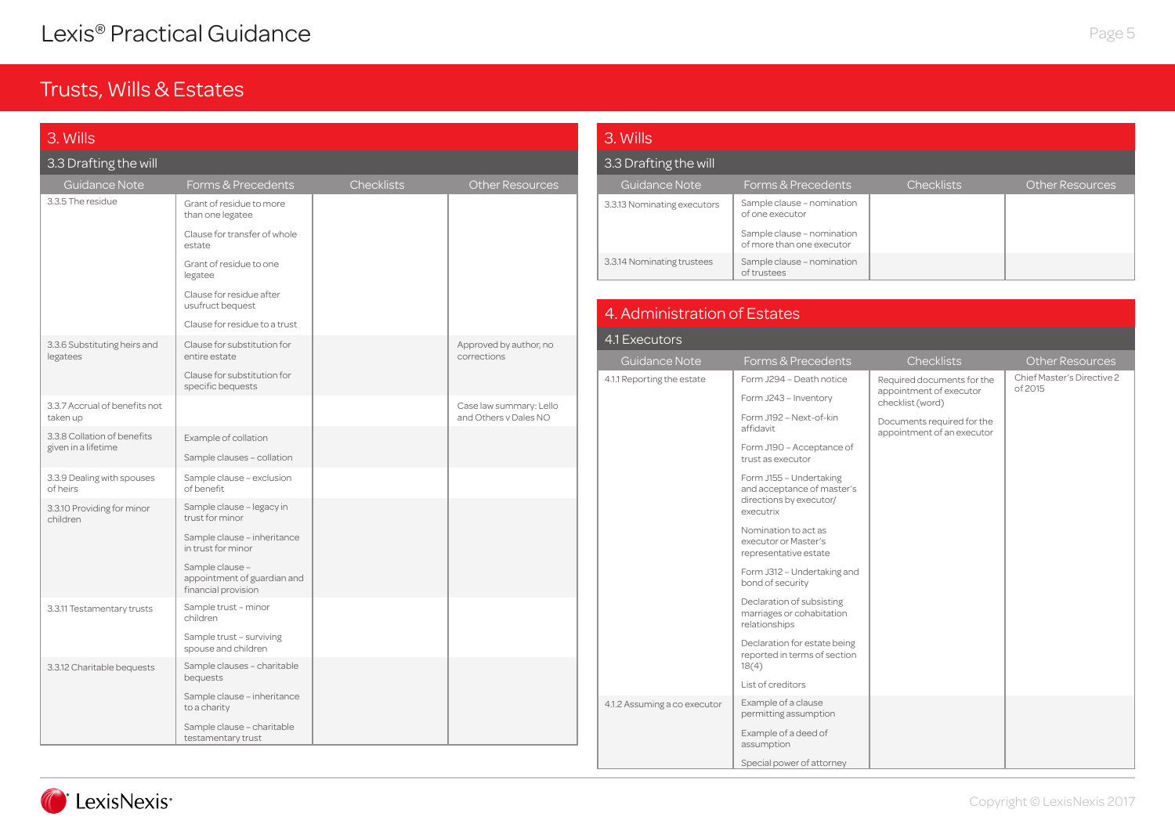| 3. Wills                                           |                                                                       |                   |                                                  |  |
|----------------------------------------------------|-----------------------------------------------------------------------|-------------------|--------------------------------------------------|--|
| 3.3 Drafting the will                              |                                                                       |                   |                                                  |  |
| <b>Guidance Note</b>                               | Forms & Precedents                                                    | <b>Checklists</b> | <b>Other Resources</b>                           |  |
| 3.3.5 The residue                                  | Grant of residue to more<br>than one legatee                          |                   |                                                  |  |
|                                                    | Clause for transfer of whole<br>estate                                |                   |                                                  |  |
|                                                    | Grant of residue to one<br>legatee                                    |                   |                                                  |  |
|                                                    | Clause for residue after<br>usufruct bequest                          |                   |                                                  |  |
|                                                    | Clause for residue to a trust                                         |                   |                                                  |  |
| 3.3.6 Substituting heirs and<br>legatees           | Clause for substitution for<br>entire estate                          |                   | Approved by author, no<br>corrections            |  |
|                                                    | Clause for substitution for<br>specific bequests                      |                   |                                                  |  |
| 3.3.7 Accrual of benefits not<br>taken up          |                                                                       |                   | Case law summary: Lello<br>and Others v Dales NO |  |
| 3.3.8 Collation of benefits<br>given in a lifetime | Example of collation                                                  |                   |                                                  |  |
|                                                    | Sample clauses - collation                                            |                   |                                                  |  |
| 3.3.9 Dealing with spouses<br>of heirs             | Sample clause - exclusion<br>of benefit                               |                   |                                                  |  |
| 3.3.10 Providing for minor<br>children             | Sample clause - legacy in<br>trust for minor                          |                   |                                                  |  |
|                                                    | Sample clause - inheritance<br>in trust for minor                     |                   |                                                  |  |
|                                                    | Sample clause -<br>appointment of guardian and<br>financial provision |                   |                                                  |  |
| 3.3.11 Testamentary trusts                         | Sample trust - minor<br>children                                      |                   |                                                  |  |
|                                                    | Sample trust - surviving<br>spouse and children                       |                   |                                                  |  |
| 3.3.12 Charitable bequests                         | Sample clauses - charitable<br>bequests                               |                   |                                                  |  |
|                                                    | Sample clause - inheritance<br>to a charity                           |                   |                                                  |  |
|                                                    | Sample clause - charitable<br>testamentary trust                      |                   |                                                  |  |

| 3. Wills                    |                                                         |                   |                        |
|-----------------------------|---------------------------------------------------------|-------------------|------------------------|
| 3.3 Drafting the will       |                                                         |                   |                        |
| Guidance Note               | Forms & Precedents                                      | <b>Checklists</b> | <b>Other Resources</b> |
| 3.3.13 Nominating executors | Sample clause - nomination<br>of one executor           |                   |                        |
|                             | Sample clause - nomination<br>of more than one executor |                   |                        |
| 3.3.14 Nominating trustees  | Sample clause - nomination<br>of trustees               |                   |                        |

| 4.1 Executors                |                                                                                               |                                                          |                                       |
|------------------------------|-----------------------------------------------------------------------------------------------|----------------------------------------------------------|---------------------------------------|
| Guidance Note                | Forms & Precedents                                                                            | <b>Checklists</b>                                        | <b>Other Resources</b>                |
| 4.1.1 Reporting the estate   | Form J294 - Death notice                                                                      | Required documents for the                               | Chief Master's Directive 2<br>of 2015 |
|                              | Form J243 - Inventory                                                                         | appointment of executor<br>checklist (word)              |                                       |
|                              | Form J192 - Next-of-kin<br>affidavit                                                          | Documents required for the<br>appointment of an executor |                                       |
|                              | Form J190 - Acceptance of<br>trust as executor                                                |                                                          |                                       |
|                              | Form J155 - Undertaking<br>and acceptance of master's<br>directions by executor/<br>executrix |                                                          |                                       |
|                              | Nomination to act as<br>executor or Master's<br>representative estate                         |                                                          |                                       |
|                              | Form J312 - Undertaking and<br>bond of security                                               |                                                          |                                       |
|                              | Declaration of subsisting<br>marriages or cohabitation<br>relationships                       |                                                          |                                       |
|                              | Declaration for estate being<br>reported in terms of section<br>18(4)                         |                                                          |                                       |
|                              | List of creditors                                                                             |                                                          |                                       |
| 4.1.2 Assuming a co executor | Example of a clause<br>permitting assumption                                                  |                                                          |                                       |
|                              | Example of a deed of<br>assumption                                                            |                                                          |                                       |
|                              | Special power of attorney                                                                     |                                                          |                                       |

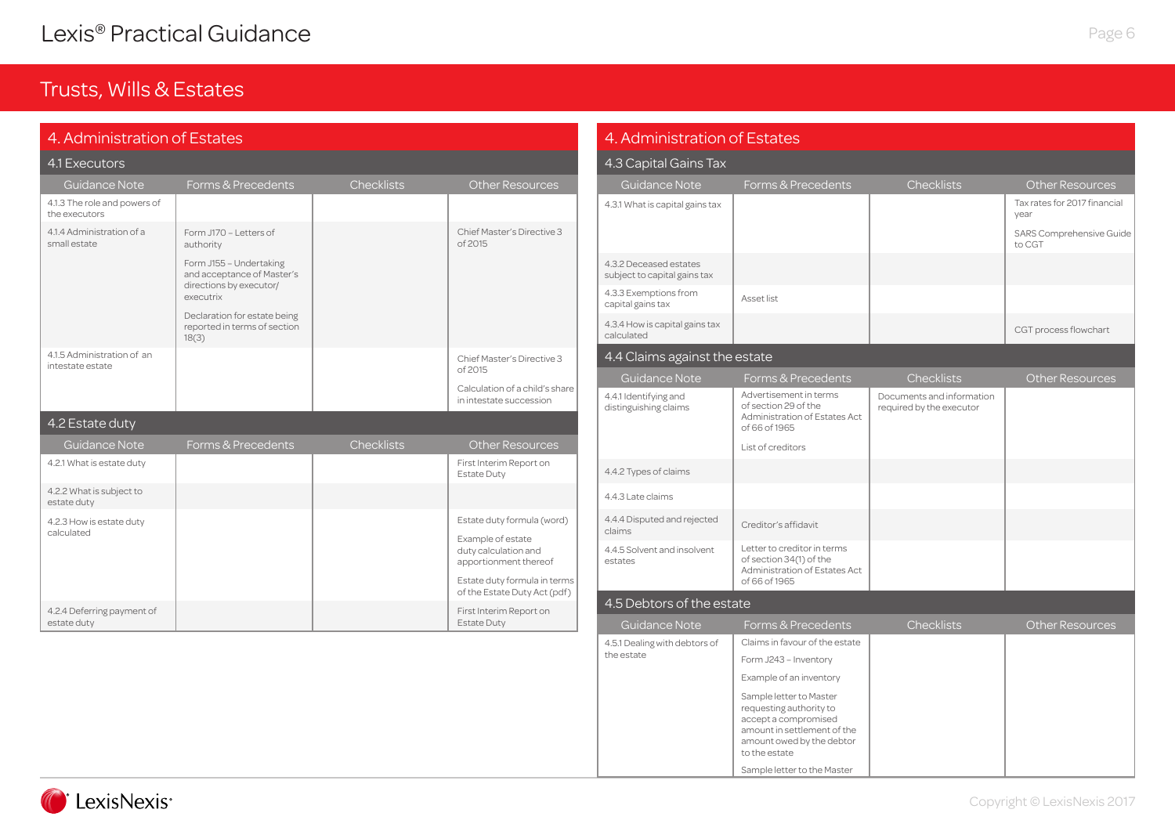### Trusts, Wills & Estates

| 4. Administration of Estates                   |                                                                                               |                   |                                                                    |  |
|------------------------------------------------|-----------------------------------------------------------------------------------------------|-------------------|--------------------------------------------------------------------|--|
| 4.1 Executors                                  |                                                                                               |                   |                                                                    |  |
| <b>Guidance Note</b>                           | Forms & Precedents                                                                            | <b>Checklists</b> | <b>Other Resources</b>                                             |  |
| 4.1.3 The role and powers of<br>the executors  |                                                                                               |                   |                                                                    |  |
| 4.1.4 Administration of a<br>small estate      | Form J170 - Letters of<br>authority                                                           |                   | Chief Master's Directive 3<br>of 2015                              |  |
|                                                | Form J155 - Undertaking<br>and acceptance of Master's<br>directions by executor/<br>executrix |                   |                                                                    |  |
|                                                | Declaration for estate being<br>reported in terms of section<br>18(3)                         |                   |                                                                    |  |
| 4.1.5 Administration of an<br>intestate estate |                                                                                               |                   | Chief Master's Directive 3<br>of 2015                              |  |
|                                                |                                                                                               |                   | Calculation of a child's share<br>in intestate succession          |  |
| 4.2 Estate duty                                |                                                                                               |                   |                                                                    |  |
| <b>Guidance Note</b>                           | Forms & Precedents                                                                            | <b>Checklists</b> | <b>Other Resources</b>                                             |  |
| 4.2.1 What is estate duty                      |                                                                                               |                   | First Interim Report on<br><b>Estate Duty</b>                      |  |
| 4.2.2 What is subject to<br>estate duty        |                                                                                               |                   |                                                                    |  |
| 4.2.3 How is estate duty                       |                                                                                               |                   | Estate duty formula (word)                                         |  |
| calculated                                     |                                                                                               |                   | Example of estate<br>duty calculation and<br>apportionment thereof |  |
|                                                |                                                                                               |                   | Estate duty formula in terms<br>of the Estate Duty Act (pdf)       |  |
| 4.2.4 Deferring payment of<br>estate duty      |                                                                                               |                   | First Interim Report on<br><b>Estate Duty</b>                      |  |

#### 4.5.1 Dealing with debtors of the estate Claims in favour of the estate Form J243 – Inventory Example of an inventory Sample letter to Master requesting authority to accept a compromised amount in settlement of the amount owed by the debtor to the estate 4.4.3 Late claims 4.4.4 Disputed and rejected 4.4.4 Disputed and rejected creditor's affidavit<br>claims 4.4.1 Identifying and distinguishing claims Advertisement in terms of section 29 of the Administration of Estates Act of 66 of 1965 List of creditors Documents and information required by the executor 4.4.2 Types of claims 4.3.3 Exemptions from 4.3.3 Exemptions from<br>capital gains tax Asset list 4.3.4 How is capital gains tax CGT process flowchart Guidance Note Forms & Precedents Checklists Checklists Cher Resources 4. Administration of Estates 4.3 Capital Gains Tax 4.3.1 What is capital gains tax  $\vert$ year SARS Comprehensive Guide to CGT 4.3.2 Deceased estates subject to capital gains tax Guidance Note Forms & Precedents Checklists Cher Resources 4.4 Claims against the estate 4.4.5 Solvent and insolvent estates Letter to creditor in terms of section 34(1) of the Administration of Estates Act of 66 of 1965 Guidance Note Forms & Precedents Checklists Cher Resources 4.5 Debtors of the estate

Sample letter to the Master

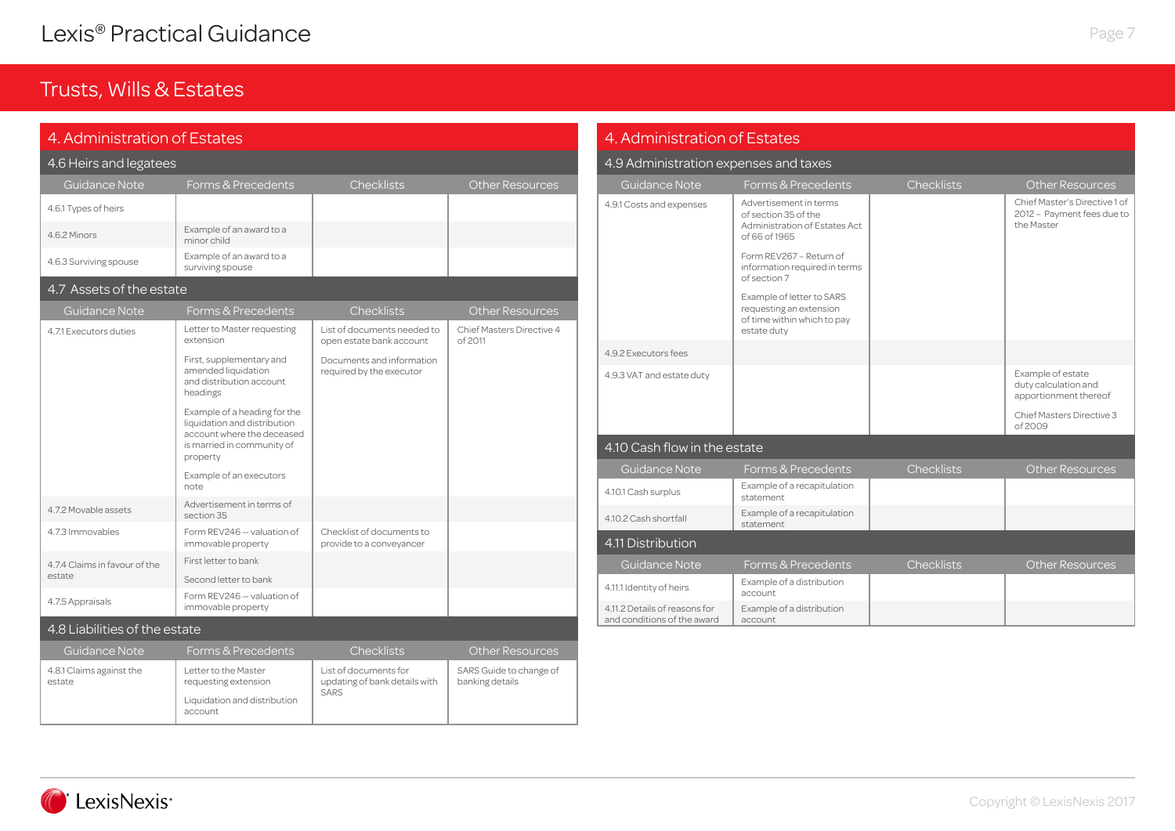# Trusts, Wills & Estates

| 4. Administration of Estates       |                                                                                                                                      |                                                                       |                                            |  |  |
|------------------------------------|--------------------------------------------------------------------------------------------------------------------------------------|-----------------------------------------------------------------------|--------------------------------------------|--|--|
| 4.6 Heirs and legatees             |                                                                                                                                      |                                                                       |                                            |  |  |
| Guidance Note                      | Forms & Precedents                                                                                                                   | Checklists                                                            | <b>Other Resources</b>                     |  |  |
| 4.6.1 Types of heirs               |                                                                                                                                      |                                                                       |                                            |  |  |
| 4.6.2 Minors                       | Example of an award to a<br>minor child                                                                                              |                                                                       |                                            |  |  |
| 4.6.3 Surviving spouse             | Example of an award to a<br>surviving spouse                                                                                         |                                                                       |                                            |  |  |
| 4.7 Assets of the estate           |                                                                                                                                      |                                                                       |                                            |  |  |
| <b>Guidance Note</b>               | Forms & Precedents                                                                                                                   | Checklists                                                            | <b>Other Resources</b>                     |  |  |
| 4.7.1 Executors duties             | Letter to Master requesting<br>extension                                                                                             | List of documents needed to<br>open estate bank account               | Chief Masters Directive 4<br>of 2011       |  |  |
|                                    | First, supplementary and<br>amended liquidation<br>and distribution account<br>headings                                              | Documents and information<br>required by the executor                 |                                            |  |  |
|                                    | Example of a heading for the<br>liquidation and distribution<br>account where the deceased<br>is married in community of<br>property |                                                                       |                                            |  |  |
|                                    | Example of an executors<br>note                                                                                                      |                                                                       |                                            |  |  |
| 4.7.2 Movable assets               | Advertisement in terms of<br>section 35                                                                                              |                                                                       |                                            |  |  |
| 4.7.3 Immovables                   | Form REV246 - valuation of<br>immovable property                                                                                     | Checklist of documents to<br>provide to a conveyancer                 |                                            |  |  |
| 4.7.4 Claims in favour of the      | First letter to bank                                                                                                                 |                                                                       |                                            |  |  |
| estate                             | Second letter to bank                                                                                                                |                                                                       |                                            |  |  |
| 4.7.5 Appraisals                   | Form REV246 - valuation of<br>immovable property                                                                                     |                                                                       |                                            |  |  |
| 4.8 Liabilities of the estate      |                                                                                                                                      |                                                                       |                                            |  |  |
| Guidance Note                      | Forms & Precedents                                                                                                                   | Checklists                                                            | <b>Other Resources</b>                     |  |  |
| 4.8.1 Claims against the<br>estate | Letter to the Master<br>requesting extension<br>Liquidation and distribution                                                         | List of documents for<br>updating of bank details with<br><b>SARS</b> | SARS Guide to change of<br>banking details |  |  |
|                                    | account                                                                                                                              |                                                                       |                                            |  |  |

<u> 1989 - Johann Barnett, mars e</u>

| 4. Administration of Estates                                 |                                                                                                    |                   |                                                                           |  |  |
|--------------------------------------------------------------|----------------------------------------------------------------------------------------------------|-------------------|---------------------------------------------------------------------------|--|--|
| 4.9 Administration expenses and taxes                        |                                                                                                    |                   |                                                                           |  |  |
| <b>Guidance Note</b>                                         | Forms & Precedents                                                                                 | Checklists        | <b>Other Resources</b>                                                    |  |  |
| 4.9.1 Costs and expenses                                     | Advertisement in terms<br>of section 35 of the<br>Administration of Estates Act<br>of 66 of 1965   |                   | Chief Master's Directive 1 of<br>2012 - Payment fees due to<br>the Master |  |  |
|                                                              | Form REV267 - Return of<br>information required in terms<br>of section 7                           |                   |                                                                           |  |  |
|                                                              | Example of letter to SARS<br>requesting an extension<br>of time within which to pay<br>estate duty |                   |                                                                           |  |  |
| 4.9.2 Executors fees                                         |                                                                                                    |                   |                                                                           |  |  |
| 4.9.3 VAT and estate duty                                    |                                                                                                    |                   | Example of estate<br>duty calculation and<br>apportionment thereof        |  |  |
|                                                              |                                                                                                    |                   | Chief Masters Directive 3<br>of 2009                                      |  |  |
| 4.10 Cash flow in the estate                                 |                                                                                                    |                   |                                                                           |  |  |
| Guidance Note                                                | Forms & Precedents                                                                                 | <b>Checklists</b> | <b>Other Resources</b>                                                    |  |  |
| 4.10.1 Cash surplus                                          | Example of a recapitulation<br>statement                                                           |                   |                                                                           |  |  |
| 4.10.2 Cash shortfall                                        | Example of a recapitulation<br>statement                                                           |                   |                                                                           |  |  |
| 4.11 Distribution                                            |                                                                                                    |                   |                                                                           |  |  |
| Guidance Note                                                | Forms & Precedents                                                                                 | <b>Checklists</b> | <b>Other Resources</b>                                                    |  |  |
| 4.11.1 Identity of heirs                                     | Example of a distribution<br>account                                                               |                   |                                                                           |  |  |
| 4.11.2 Details of reasons for<br>and conditions of the award | Example of a distribution<br>account                                                               |                   |                                                                           |  |  |